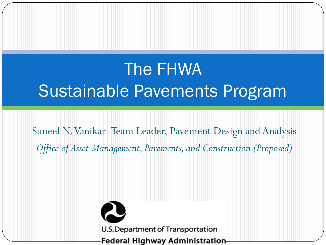## The FHWA Sustainable Pavements Program

Suneel N. Vanikar-Team Leader, Pavement Design and Analysis *Office of Asset Management, Pavements, and Construction (Proposed)*

> U.S. Department of Transportation **Federal Highway Administration**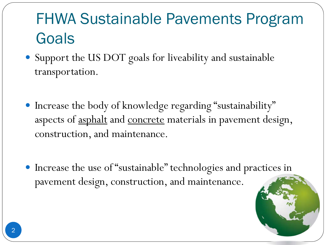#### FHWA Sustainable Pavements Program Goals

- Support the US DOT goals for liveability and sustainable transportation.
- Increase the body of knowledge regarding "sustainability" aspects of asphalt and concrete materials in pavement design, construction, and maintenance.
- Increase the use of "sustainable" technologies and practices in pavement design, construction, and maintenance.

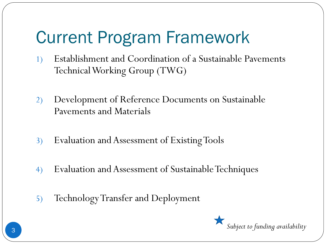- 1) Establishment and Coordination of a Sustainable Pavements Technical Working Group (TWG)
- 2) Development of Reference Documents on Sustainable Pavements and Materials
- 3) Evaluation and Assessment of Existing Tools
- 4) Evaluation and Assessment of Sustainable Techniques
- 5) Technology Transfer and Deployment

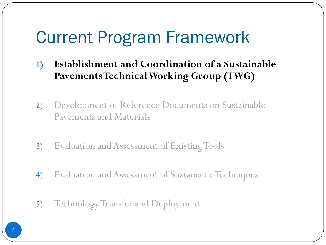- **1) Establishment and Coordination of a Sustainable Pavements Technical Working Group (TWG)**
- 2) Development of Reference Documents on Sustainable Pavements and Materials
- 3) Evaluation and Assessment of Existing Tools
- 4) Evaluation and Assessment of Sustainable Techniques
- 5) Technology Transfer and Deployment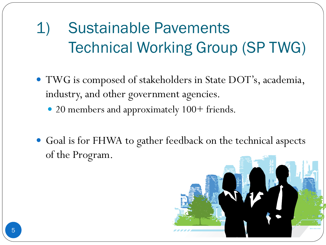# 1) Sustainable Pavements Technical Working Group (SP TWG)

- TWG is composed of stakeholders in State DOT's, academia, industry, and other government agencies.
	- 20 members and approximately 100+ friends.
- Goal is for FHWA to gather feedback on the technical aspects of the Program.

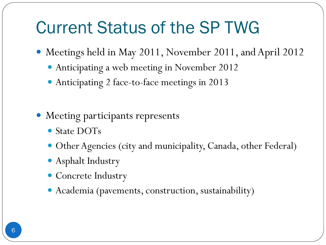#### Current Status of the SP TWG

- Meetings held in May 2011, November 2011, and April 2012
	- Anticipating a web meeting in November 2012
	- Anticipating 2 face-to-face meetings in 2013
- Meeting participants represents
	- State DOTs
	- Other Agencies (city and municipality, Canada, other Federal)
	- Asphalt Industry
	- Concrete Industry
	- Academia (pavements, construction, sustainability)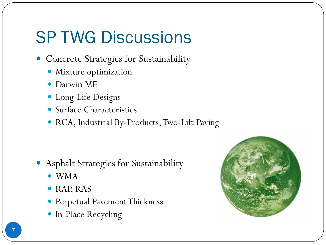# SP TWG Discussions

- Concrete Strategies for Sustainability
	- Mixture optimization
	- Darwin ME
	- Long-Life Designs
	- Surface Characteristics
	- RCA, Industrial By-Products, Two-Lift Paving

- Asphalt Strategies for Sustainability
	- WMA
	- RAP, RAS
	- Perpetual Pavement Thickness
	- In-Place Recycling

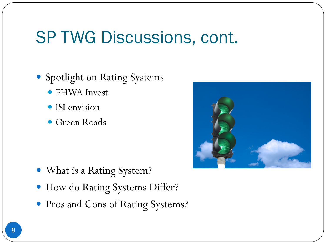#### SP TWG Discussions, cont.

- Spotlight on Rating Systems
	- FHWA Invest
	- ISI envision
	- Green Roads

- What is a Rating System?
- How do Rating Systems Differ?
- Pros and Cons of Rating Systems?

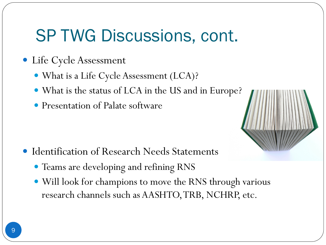#### SP TWG Discussions, cont.

- Life Cycle Assessment
	- What is a Life Cycle Assessment (LCA)?
	- What is the status of LCA in the US and in Europe?
	- Presentation of Palate software
- 
- Identification of Research Needs Statements
	- Teams are developing and refining RNS
	- Will look for champions to move the RNS through various research channels such as AASHTO, TRB, NCHRP, etc.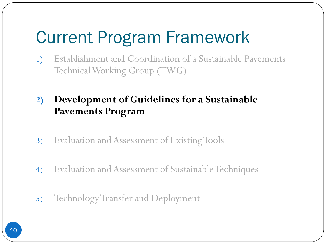- 1) Establishment and Coordination of a Sustainable Pavements Technical Working Group (TWG)
- **2) Development of Guidelines for a Sustainable Pavements Program**
- 3) Evaluation and Assessment of Existing Tools
- 4) Evaluation and Assessment of Sustainable Techniques
- 5) Technology Transfer and Deployment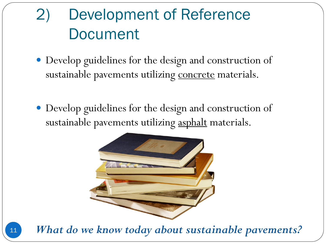#### 2) Development of Reference Document

- Develop guidelines for the design and construction of sustainable pavements utilizing concrete materials.
- Develop guidelines for the design and construction of sustainable pavements utilizing asphalt materials.



What do we know today about sustainable pavements?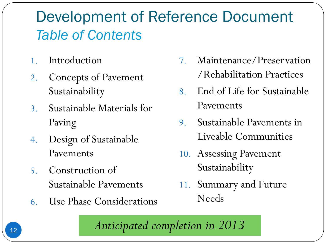#### Development of Reference Document *Table of Contents*

- 1. Introduction
- 2. Concepts of Pavement Sustainability
- 3. Sustainable Materials for Paving
- 4. Design of Sustainable Pavements
- 5. Construction of Sustainable Pavements
- 6. Use Phase Considerations
- 7. Maintenance/Preservation /Rehabilitation Practices
- 8. End of Life for Sustainable Pavements
- 9. Sustainable Pavements in Liveable Communities
- 10. Assessing Pavement Sustainability
- 11. Summary and Future Needs

*Anticipated completion in 2013*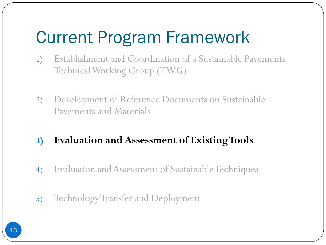- 1) Establishment and Coordination of a Sustainable Pavements Technical Working Group (TWG)
- 2) Development of Reference Documents on Sustainable Pavements and Materials

#### **3) Evaluation and Assessment of Existing Tools**

- 4) Evaluation and Assessment of Sustainable Techniques
- 5) Technology Transfer and Deployment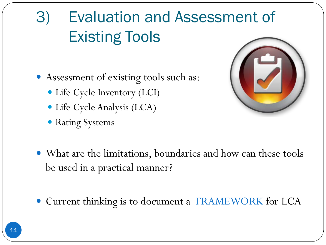# 3) Evaluation and Assessment of Existing Tools

- Assessment of existing tools such as:
	- Life Cycle Inventory (LCI)
	- Life Cycle Analysis (LCA)
	- Rating Systems



- What are the limitations, boundaries and how can these tools be used in a practical manner?
- Current thinking is to document a FRAMEWORK for LCA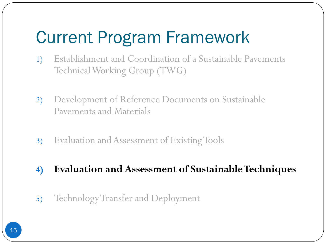- 1) Establishment and Coordination of a Sustainable Pavements Technical Working Group (TWG)
- 2) Development of Reference Documents on Sustainable Pavements and Materials
- 3) Evaluation and Assessment of Existing Tools
- **4) Evaluation and Assessment of Sustainable Techniques**
- 5) Technology Transfer and Deployment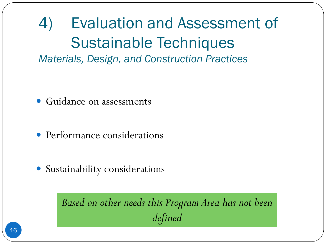4) Evaluation and Assessment of Sustainable Techniques *Materials, Design, and Construction Practices*

- Guidance on assessments
- Performance considerations
- Sustainability considerations

*Based on other needs this Program Area has not been defined*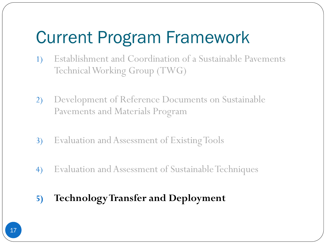- 1) Establishment and Coordination of a Sustainable Pavements Technical Working Group (TWG)
- 2) Development of Reference Documents on Sustainable Pavements and Materials Program
- 3) Evaluation and Assessment of Existing Tools
- 4) Evaluation and Assessment of Sustainable Techniques
- **5) Technology Transfer and Deployment**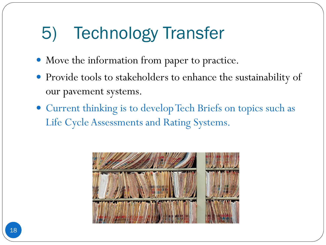# 5) Technology Transfer

- Move the information from paper to practice.
- Provide tools to stakeholders to enhance the sustainability of our pavement systems.
- Current thinking is to develop Tech Briefs on topics such as Life Cycle Assessments and Rating Systems.

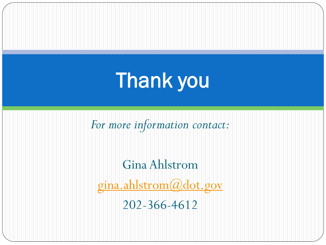# Thank you

*For more information contact:*

Gina Ahlstrom [gina.ahlstrom@dot.gov](mailto:gina.ahlstrom@dot.gov) 202-366-4612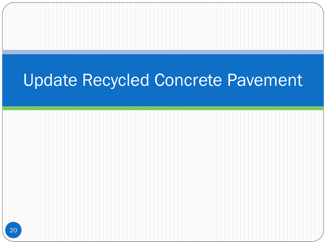#### Update Recycled Concrete Pavement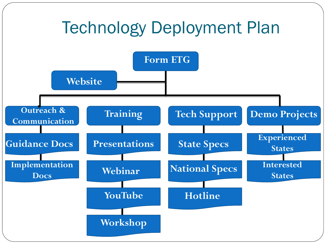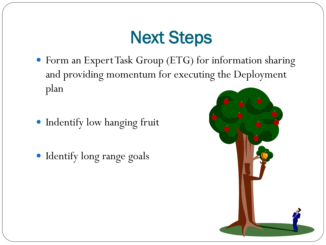# Next Steps

- Form an Expert Task Group (ETG) for information sharing and providing momentum for executing the Deployment plan
- **Indentify low hanging fruit**
- Identify long range goals

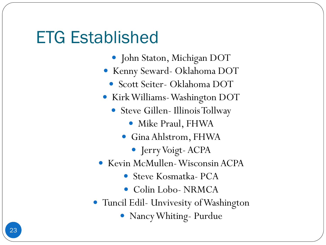#### ETG Established

- John Staton, Michigan DOT
- Kenny Seward- Oklahoma DOT
	- Scott Seiter- Oklahoma DOT
- Kirk Williams-Washington DOT
	- Steve Gillen- Illinois Tollway
		- Mike Praul, FHWA
		- Gina Ahlstrom, FHWA
			- Jerry Voigt- ACPA
- Kevin McMullen-Wisconsin ACPA
	- Steve Kosmatka- PCA
	- Colin Lobo- NRMCA
- Tuncil Edil- Unvivesity of Washington
	- Nancy Whiting- Purdue